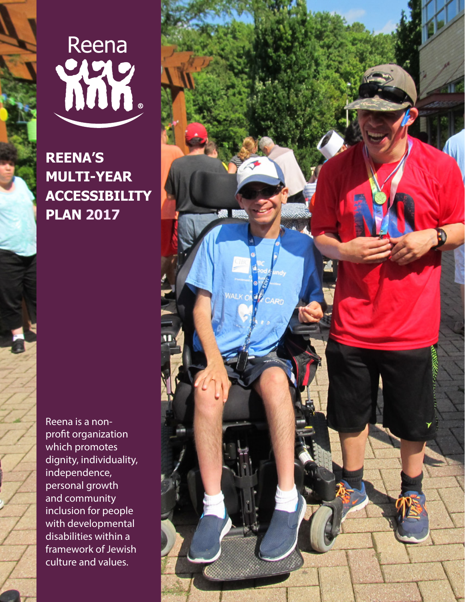

**REENA'S MULTI-YEAR ACCESSIBILITY PLAN 2017**

Reena is a nonprofit organization which promotes dignity, individuality, independence, personal growth and community inclusion for people with developmental disabilities within a framework of Jewish culture and values.

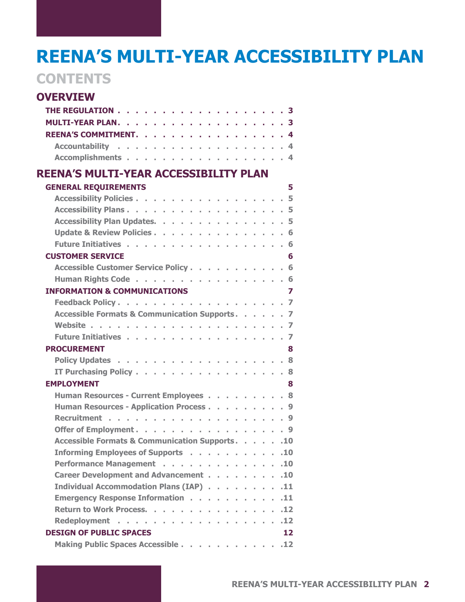## **REENA'S MULTI-YEAR ACCESSIBILITY PLAN**

## **CONTENTS**

| <b>OVERVIEW</b>                                                    |
|--------------------------------------------------------------------|
|                                                                    |
| <b>MULTI-YEAR PLAN.</b> 3                                          |
| REENA'S COMMITMENT. 4                                              |
|                                                                    |
| Accomplishments 4                                                  |
| <b>REENA'S MULTI-YEAR ACCESSIBILITY PLAN</b>                       |
| <b>GENERAL REQUIREMENTS</b><br>5                                   |
| Accessibility Policies 5                                           |
| Accessibility Plans. 5                                             |
| Accessibility Plan Updates. 5                                      |
| Update & Review Policies. 6                                        |
| Future Initiatives 6                                               |
| <b>CUSTOMER SERVICE</b><br>6                                       |
| Accessible Customer Service Policy 6                               |
| Human Rights Code 6                                                |
| <b>INFORMATION &amp; COMMUNICATIONS</b><br>$\overline{\mathbf{z}}$ |
|                                                                    |
| Accessible Formats & Communication Supports. 7                     |
|                                                                    |
| Future Initiatives 7                                               |
| <b>PROCUREMENT</b><br>8                                            |
|                                                                    |
| IT Purchasing Policy 8                                             |
| <b>EMPLOYMENT</b><br>8                                             |
| Human Resources - Current Employees 8                              |
| Human Resources - Application Process 9                            |
|                                                                    |
| Offer of Employment. 9                                             |
| Accessible Formats & Communication Supports.<br>.10                |
| Informing Employees of Supports<br>.10                             |
| Performance Management<br>.10                                      |
| Career Development and Advancement<br>.10                          |
| Individual Accommodation Plans (IAP)<br>.11                        |
| <b>Emergency Response Information</b><br>.11                       |
| Return to Work Process.<br>.12                                     |
| .12                                                                |
| <b>DESIGN OF PUBLIC SPACES</b><br>12                               |
| Making Public Spaces Accessible<br>.12                             |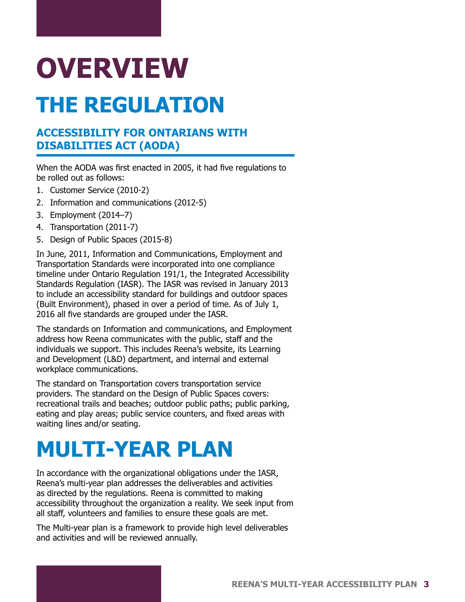# <span id="page-2-0"></span>**OVERVIEW THE REGULATION**

## **ACCESSIBILITY FOR ONTARIANS WITH**

## **DISABILITIES ACT (AODA)**

When the AODA was first enacted in 2005, it had five regulations to be rolled out as follows:

- 1. Customer Service (2010-2)
- 2. Information and communications (2012-5)
- 3. Employment (2014–7)
- 4. Transportation (2011-7)
- 5. Design of Public Spaces (2015-8)

In June, 2011, Information and Communications, Employment and Transportation Standards were incorporated into one compliance timeline under Ontario Regulation 191/1, the Integrated Accessibility Standards Regulation (IASR). The IASR was revised in January 2013 to include an accessibility standard for buildings and outdoor spaces (Built Environment), phased in over a period of time. As of July 1, 2016 all five standards are grouped under the IASR.

The standards on Information and communications, and Employment address how Reena communicates with the public, staff and the individuals we support. This includes Reena's website, its Learning and Development (L&D) department, and internal and external workplace communications.

The standard on Transportation covers transportation service providers. The standard on the Design of Public Spaces covers: recreational trails and beaches; outdoor public paths; public parking, eating and play areas; public service counters, and fixed areas with waiting lines and/or seating.

## **MULTI-YEAR PLAN**

In accordance with the organizational obligations under the IASR, Reena's multi-year plan addresses the deliverables and activities as directed by the regulations. Reena is committed to making accessibility throughout the organization a reality. We seek input from all staff, volunteers and families to ensure these goals are met.

The Multi-year plan is a framework to provide high level deliverables and activities and will be reviewed annually.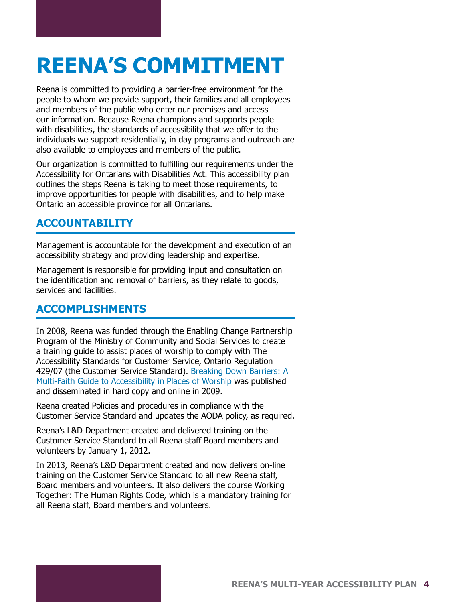## <span id="page-3-0"></span>**REENA'S COMMITMENT**

Reena is committed to providing a barrier-free environment for the people to whom we provide support, their families and all employees and members of the public who enter our premises and access our information. Because Reena champions and supports people with disabilities, the standards of accessibility that we offer to the individuals we support residentially, in day programs and outreach are also available to employees and members of the public.

Our organization is committed to fulfilling our requirements under the Accessibility for Ontarians with Disabilities Act. This accessibility plan outlines the steps Reena is taking to meet those requirements, to improve opportunities for people with disabilities, and to help make Ontario an accessible province for all Ontarians.

## **ACCOUNTABILITY**

Management is accountable for the development and execution of an accessibility strategy and providing leadership and expertise.

Management is responsible for providing input and consultation on the identification and removal of barriers, as they relate to goods, services and facilities.

## **ACCOMPLISHMENTS**

In 2008, Reena was funded through the Enabling Change Partnership Program of the Ministry of Community and Social Services to create a training guide to assist places of worship to comply with The Accessibility Standards for Customer Service, Ontario Regulation 429/07 (the Customer Service Standard). [Breaking Down Barriers: A](http://www.reena.org/wp-content/uploads/2015/09/BreakingDownBarriersGuideMF.pdf)  [Multi-Faith Guide to Accessibility in Places of Worship](http://www.reena.org/wp-content/uploads/2015/09/BreakingDownBarriersGuideMF.pdf) was published and disseminated in hard copy and online in 2009.

Reena created Policies and procedures in compliance with the Customer Service Standard and updates the AODA policy, as required.

Reena's L&D Department created and delivered training on the Customer Service Standard to all Reena staff Board members and volunteers by January 1, 2012.

In 2013, Reena's L&D Department created and now delivers on-line training on the Customer Service Standard to all new Reena staff, Board members and volunteers. It also delivers the course Working Together: The Human Rights Code, which is a mandatory training for all Reena staff, Board members and volunteers.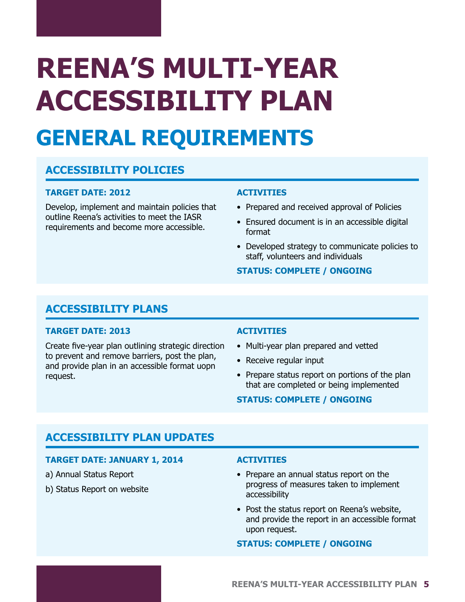# <span id="page-4-0"></span>**REENA'S MULTI-YEAR ACCESSIBILITY PLAN GENERAL REQUIREMENTS**

## **ACCESSIBILITY POLICIES**

#### **TARGET DATE: 2012**

Develop, implement and maintain policies that outline Reena's activities to meet the IASR requirements and become more accessible.

#### **ACTIVITIES**

- Prepared and received approval of Policies
- Ensured document is in an accessible digital format
- Developed strategy to communicate policies to staff, volunteers and individuals

#### **STATUS: COMPLETE / ONGOING**

## **ACCESSIBILITY PLANS**

#### **TARGET DATE: 2013**

Create five-year plan outlining strategic direction to prevent and remove barriers, post the plan, and provide plan in an accessible format uopn request.

#### **ACTIVITIES**

- Multi-year plan prepared and vetted
- Receive regular input
- Prepare status report on portions of the plan that are completed or being implemented

#### **STATUS: COMPLETE / ONGOING**

## **ACCESSIBILITY PLAN UPDATES**

#### **TARGET DATE: JANUARY 1, 2014**

- a) Annual Status Report
- b) Status Report on website

#### **ACTIVITIES**

- Prepare an annual status report on the progress of measures taken to implement accessibility
- Post the status report on Reena's website, and provide the report in an accessible format upon request.

#### **STATUS: COMPLETE / ONGOING**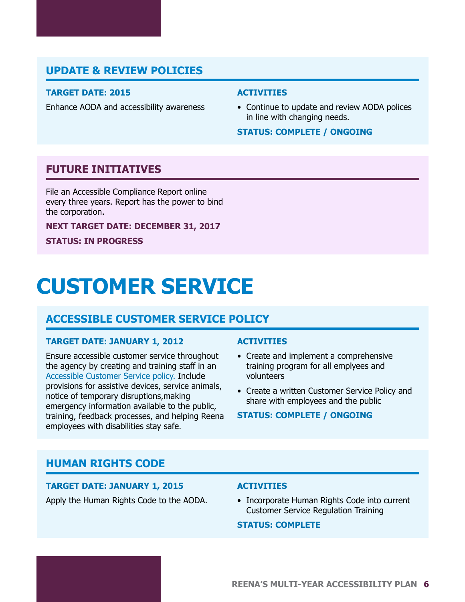## <span id="page-5-0"></span>**UPDATE & REVIEW POLICIES**

#### **TARGET DATE: 2015**

Enhance AODA and accessibility awareness

#### **ACTIVITIES**

• Continue to update and review AODA polices in line with changing needs.

#### **STATUS: COMPLETE / ONGOING**

### **FUTURE INITIATIVES**

File an Accessible Compliance Report online every three years. Report has the power to bind the corporation.

**NEXT TARGET DATE: DECEMBER 31, 2017**

**STATUS: IN PROGRESS**

## **CUSTOMER SERVICE**

### **ACCESSIBLE CUSTOMER SERVICE POLICY**

#### **TARGET DATE: JANUARY 1, 2012**

Ensure accessible customer service throughout the agency by creating and training staff in an A[ccessible Customer Service policy](http://www.reena.org/wp-content/uploads/2015/10/HRPP-02-General-Conduct-Rev-2015-01-06-AODA-Policy-Updated-June-2016.pdf). Include provisions for assistive devices, service animals, notice of temporary disruptions,making emergency information available to the public, training, feedback processes, and helping Reena employees with disabilities stay safe.

#### **ACTIVITIES**

- Create and implement a comprehensive training program for all emplyees and volunteers
- Create a written Customer Service Policy and share with employees and the public

#### **STATUS: COMPLETE / ONGOING**

### **HUMAN RIGHTS CODE**

#### **TARGET DATE: JANUARY 1, 2015**

Apply the Human Rights Code to the AODA.

#### **ACTIVITIES**

• Incorporate Human Rights Code into current Customer Service Regulation Training

#### **STATUS: COMPLETE**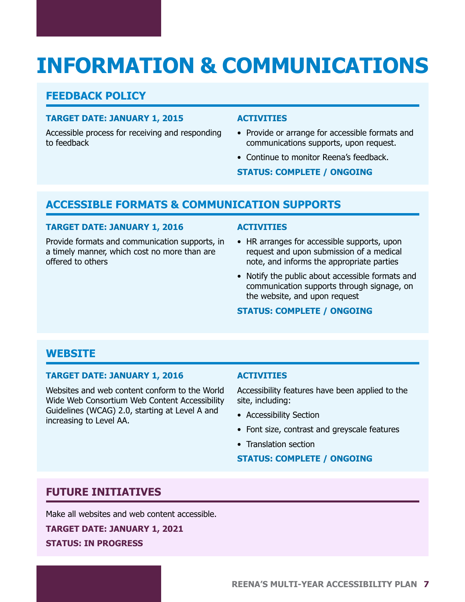## <span id="page-6-0"></span>**INFORMATION & COMMUNICATIONS**

## **FEEDBACK POLICY**

#### **TARGET DATE: JANUARY 1, 2015**

Accessible process for receiving and responding to feedback

#### **ACTIVITIES**

- Provide or arrange for accessible formats and communications supports, upon request.
- Continue to monitor Reena's feedback.

**STATUS: COMPLETE / ONGOING**

## **ACCESSIBLE FORMATS & COMMUNICATION SUPPORTS**

#### **TARGET DATE: JANUARY 1, 2016**

Provide formats and communication supports, in a timely manner, which cost no more than are offered to others

#### **ACTIVITIES**

- HR arranges for accessible supports, upon request and upon submission of a medical note, and informs the appropriate parties
- Notify the public about accessible formats and communication supports through signage, on the website, and upon request

#### **STATUS: COMPLETE / ONGOING**

## **WEBSITE**

#### **TARGET DATE: JANUARY 1, 2016**

Websites and web content conform to the World Wide Web Consortium Web Content Accessibility Guidelines (WCAG) 2.0, starting at Level A and increasing to Level AA.

#### **ACTIVITIES**

Accessibility features have been applied to the site, including:

- Accessibility Section
- Font size, contrast and greyscale features
- Translation section

#### **STATUS: COMPLETE / ONGOING**

## **FUTURE INITIATIVES**

Make all websites and web content accessible.

**TARGET DATE: JANUARY 1, 2021 STATUS: IN PROGRESS**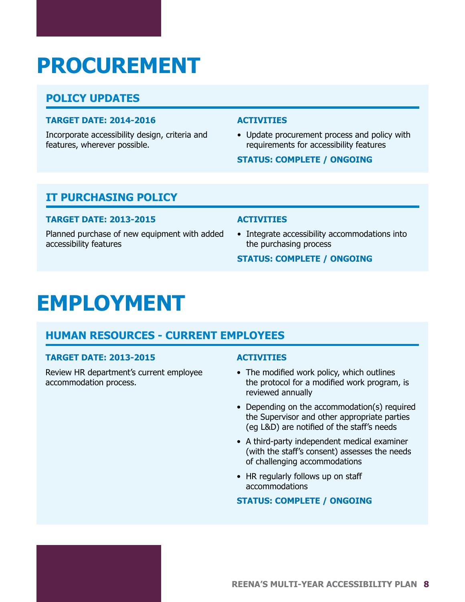## <span id="page-7-0"></span>**PROCUREMENT**

## **POLICY UPDATES**

#### **TARGET DATE: 2014-2016**

Incorporate accessibility design, criteria and features, wherever possible.

#### **ACTIVITIES**

• Update procurement process and policy with requirements for accessibility features

#### **STATUS: COMPLETE / ONGOING**

## **IT PURCHASING POLICY**

#### **TARGET DATE: 2013-2015**

Planned purchase of new equipment with added accessibility features

#### **ACTIVITIES**

• Integrate accessibility accommodations into the purchasing process

#### **STATUS: COMPLETE / ONGOING**

## **EMPLOYMENT**

## **HUMAN RESOURCES - CURRENT EMPLOYEES**

#### **TARGET DATE: 2013-2015**

Review HR department's current employee accommodation process.

#### **ACTIVITIES**

- The modified work policy, which outlines the protocol for a modified work program, is reviewed annually
- Depending on the accommodation(s) required the Supervisor and other appropriate parties (eg L&D) are notified of the staff's needs
- A third-party independent medical examiner (with the staff's consent) assesses the needs of challenging accommodations
- HR regularly follows up on staff accommodations

#### **STATUS: COMPLETE / ONGOING**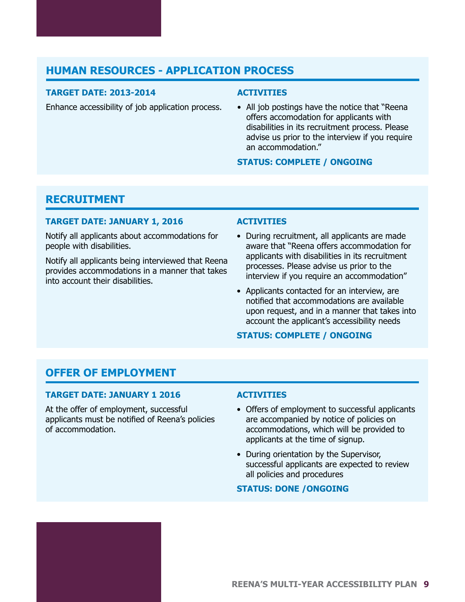## <span id="page-8-0"></span>**HUMAN RESOURCES - APPLICATION PROCESS**

#### **TARGET DATE: 2013-2014**

Enhance accessibility of job application process.

#### **ACTIVITIES**

• All job postings have the notice that "Reena offers accomodation for applicants with disabilities in its recruitment process. Please advise us prior to the interview if you require an accommodation."

#### **STATUS: COMPLETE / ONGOING**

### **RECRUITMENT**

#### **TARGET DATE: JANUARY 1, 2016**

Notify all applicants about accommodations for people with disabilities.

Notify all applicants being interviewed that Reena provides accommodations in a manner that takes into account their disabilities.

#### **ACTIVITIES**

- During recruitment, all applicants are made aware that "Reena offers accommodation for applicants with disabilities in its recruitment processes. Please advise us prior to the interview if you require an accommodation"
- Applicants contacted for an interview, are notified that accommodations are available upon request, and in a manner that takes into account the applicant's accessibility needs

#### **STATUS: COMPLETE / ONGOING**

## **OFFER OF EMPLOYMENT**

#### **TARGET DATE: JANUARY 1 2016**

At the offer of employment, successful applicants must be notified of Reena's policies of accommodation.

#### **ACTIVITIES**

- Offers of employment to successful applicants are accompanied by notice of policies on accommodations, which will be provided to applicants at the time of signup.
- During orientation by the Supervisor, successful applicants are expected to review all policies and procedures

#### **STATUS: DONE /ONGOING**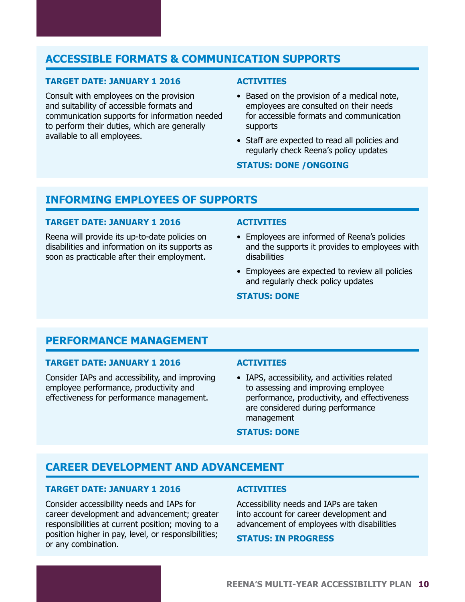## <span id="page-9-0"></span>**ACCESSIBLE FORMATS & COMMUNICATION SUPPORTS**

#### **TARGET DATE: JANUARY 1 2016**

Consult with employees on the provision and suitability of accessible formats and communication supports for information needed to perform their duties, which are generally available to all employees.

#### **ACTIVITIES**

- Based on the provision of a medical note, employees are consulted on their needs for accessible formats and communication supports
- Staff are expected to read all policies and regularly check Reena's policy updates

#### **STATUS: DONE /ONGOING**

### **INFORMING EMPLOYEES OF SUPPORTS**

#### **TARGET DATE: JANUARY 1 2016**

Reena will provide its up-to-date policies on disabilities and information on its supports as soon as practicable after their employment.

#### **ACTIVITIES**

- Employees are informed of Reena's policies and the supports it provides to employees with disabilities
- Employees are expected to review all policies and regularly check policy updates

#### **STATUS: DONE**

### **PERFORMANCE MANAGEMENT**

#### **TARGET DATE: JANUARY 1 2016**

Consider IAPs and accessibility, and improving employee performance, productivity and effectiveness for performance management.

#### **ACTIVITIES**

• IAPS, accessibility, and activities related to assessing and improving employee performance, productivity, and effectiveness are considered during performance management

#### **STATUS: DONE**

#### **CAREER DEVELOPMENT AND ADVANCEMENT**

#### **TARGET DATE: JANUARY 1 2016**

Consider accessibility needs and IAPs for career development and advancement; greater responsibilities at current position; moving to a position higher in pay, level, or responsibilities; or any combination.

#### **ACTIVITIES**

Accessibility needs and IAPs are taken into account for career development and advancement of employees with disabilities

#### **STATUS: IN PROGRESS**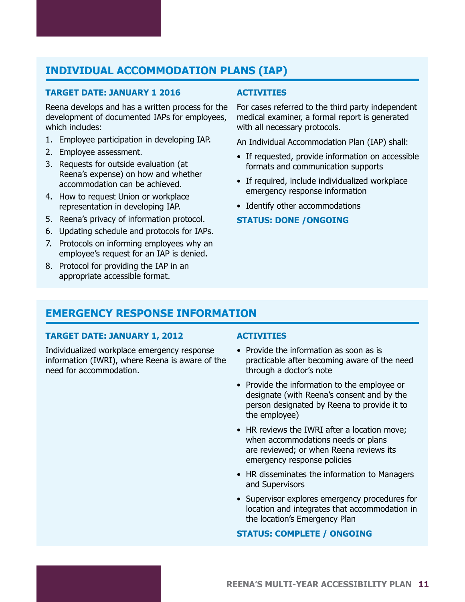## <span id="page-10-0"></span>**INDIVIDUAL ACCOMMODATION PLANS (IAP)**

#### **TARGET DATE: JANUARY 1 2016**

Reena develops and has a written process for the development of documented IAPs for employees, which includes:

- 1. Employee participation in developing IAP.
- 2. Employee assessment.
- 3. Requests for outside evaluation (at Reena's expense) on how and whether accommodation can be achieved.
- 4. How to request Union or workplace representation in developing IAP.
- 5. Reena's privacy of information protocol.
- 6. Updating schedule and protocols for IAPs.
- 7. Protocols on informing employees why an employee's request for an IAP is denied.
- 8. Protocol for providing the IAP in an appropriate accessible format.

#### **ACTIVITIES**

For cases referred to the third party independent medical examiner, a formal report is generated with all necessary protocols.

An Individual Accommodation Plan (IAP) shall:

- If requested, provide information on accessible formats and communication supports
- If required, include individualized workplace emergency response information
- Identify other accommodations

#### **STATUS: DONE /ONGOING**

## **EMERGENCY RESPONSE INFORMATION**

#### **TARGET DATE: JANUARY 1, 2012**

Individualized workplace emergency response information (IWRI), where Reena is aware of the need for accommodation.

#### **ACTIVITIES**

- Provide the information as soon as is practicable after becoming aware of the need through a doctor's note
- Provide the information to the employee or designate (with Reena's consent and by the person designated by Reena to provide it to the employee)
- HR reviews the IWRI after a location move; when accommodations needs or plans are reviewed; or when Reena reviews its emergency response policies
- HR disseminates the information to Managers and Supervisors
- Supervisor explores emergency procedures for location and integrates that accommodation in the location's Emergency Plan

#### **STATUS: COMPLETE / ONGOING**